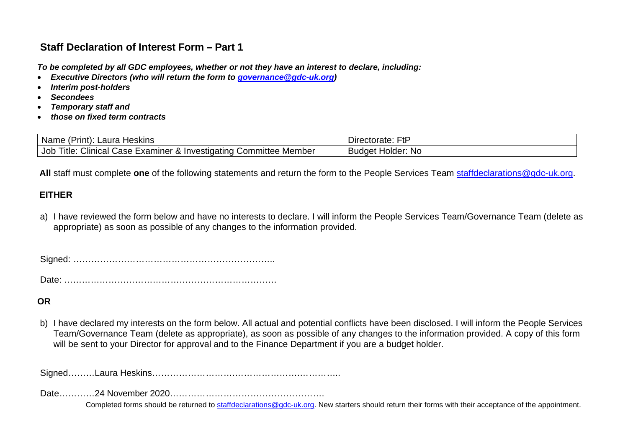## **Staff Declaration of Interest Form – Part 1**

*To be completed by all GDC employees, whether or not they have an interest to declare, including:*

- *Executive Directors (who will return the form to [governance@gdc-uk.org\)](mailto:governance@gdc-uk.org)*
- *Interim post-holders*
- *Secondees*
- *Temporary staff and*
- *those on fixed term contracts*

| Name (<br><b>Heskins</b><br>aura.<br>(Print):                                                             | $F$ f $F$<br>Directorate:      |
|-----------------------------------------------------------------------------------------------------------|--------------------------------|
| <b>Clinical C</b><br>Title.<br>Job<br>.<br>Member<br>, Examıner<br>. & Investigating<br>Committee<br>Case | <b>Nc</b><br>Holder:<br>Budaet |

 **All** staff must complete **one** of the following statements and return the form to the People Services Team [staffdeclarations@gdc-uk.org.](mailto:staffdeclarations@gdc-uk.org)

### **EITHER**

a) I have reviewed the form below and have no interests to declare. I will inform the People Services Team/Governance Team (delete as appropriate) as soon as possible of any changes to the information provided.

Signed: …………………………………………………………..

Date: ………………………………………………………………

#### **OR**

b) I have declared my interests on the form below. All actual and potential conflicts have been disclosed. I will inform the People Services Team/Governance Team (delete as appropriate), as soon as possible of any changes to the information provided. A copy of this form will be sent to your Director for approval and to the Finance Department if you are a budget holder.

Signed………Laura Heskins……………………….………………….…………..

Date…………24 November 2020…………………………………………….

Completed forms should be returned to [staffdeclarations@gdc-uk.org.](mailto:staffdeclarations@gdc-uk.org) New starters should return their forms with their acceptance of the appointment.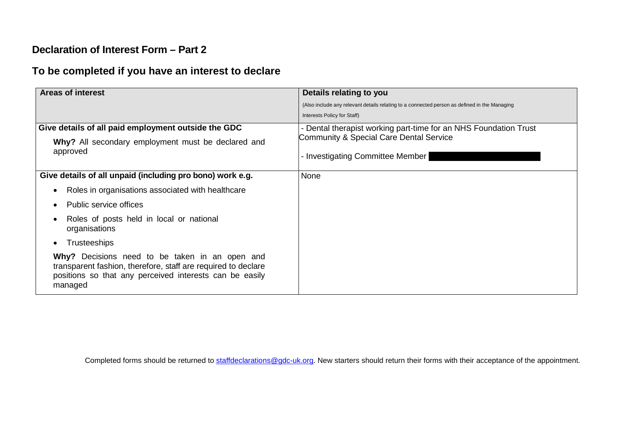## **Declaration of Interest Form – Part 2**

# **To be completed if you have an interest to declare**

| <b>Areas of interest</b>                                                                                                                                                              | Details relating to you                                                                      |
|---------------------------------------------------------------------------------------------------------------------------------------------------------------------------------------|----------------------------------------------------------------------------------------------|
|                                                                                                                                                                                       | (Also include any relevant details relating to a connected person as defined in the Managing |
|                                                                                                                                                                                       | Interests Policy for Staff)                                                                  |
| Give details of all paid employment outside the GDC                                                                                                                                   | - Dental therapist working part-time for an NHS Foundation Trust                             |
| Why? All secondary employment must be declared and                                                                                                                                    | Community & Special Care Dental Service                                                      |
| approved                                                                                                                                                                              | - Investigating Committee Member                                                             |
| Give details of all unpaid (including pro bono) work e.g.                                                                                                                             | None                                                                                         |
| Roles in organisations associated with healthcare                                                                                                                                     |                                                                                              |
| Public service offices                                                                                                                                                                |                                                                                              |
| Roles of posts held in local or national<br>organisations                                                                                                                             |                                                                                              |
| <b>Trusteeships</b>                                                                                                                                                                   |                                                                                              |
| Why? Decisions need to be taken in an open and<br>transparent fashion, therefore, staff are required to declare<br>positions so that any perceived interests can be easily<br>managed |                                                                                              |

Completed forms should be returned to [staffdeclarations@gdc-uk.org.](mailto:staffdeclarations@gdc-uk.org) New starters should return their forms with their acceptance of the appointment.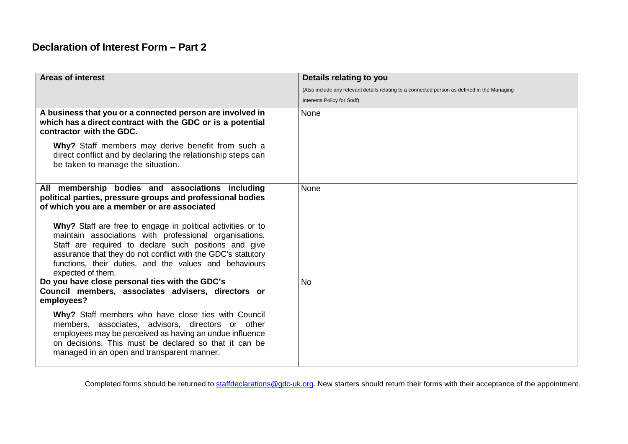## **Declaration of Interest Form – Part 2**

| <b>Areas of interest</b>                                                                                                                                                                                                                                                                                                                                                                                                                                                  | Details relating to you                                                                      |
|---------------------------------------------------------------------------------------------------------------------------------------------------------------------------------------------------------------------------------------------------------------------------------------------------------------------------------------------------------------------------------------------------------------------------------------------------------------------------|----------------------------------------------------------------------------------------------|
|                                                                                                                                                                                                                                                                                                                                                                                                                                                                           | (Also include any relevant details relating to a connected person as defined in the Managing |
|                                                                                                                                                                                                                                                                                                                                                                                                                                                                           | Interests Policy for Staff)                                                                  |
| A business that you or a connected person are involved in<br>which has a direct contract with the GDC or is a potential<br>contractor with the GDC.                                                                                                                                                                                                                                                                                                                       | None                                                                                         |
| Why? Staff members may derive benefit from such a<br>direct conflict and by declaring the relationship steps can<br>be taken to manage the situation.                                                                                                                                                                                                                                                                                                                     |                                                                                              |
| All membership bodies and associations including<br>political parties, pressure groups and professional bodies<br>of which you are a member or are associated<br>Why? Staff are free to engage in political activities or to<br>maintain associations with professional organisations.<br>Staff are required to declare such positions and give<br>assurance that they do not conflict with the GDC's statutory<br>functions, their duties, and the values and behaviours | None                                                                                         |
| expected of them.<br>Do you have close personal ties with the GDC's<br>Council members, associates advisers, directors or<br>employees?                                                                                                                                                                                                                                                                                                                                   | <b>No</b>                                                                                    |
| Why? Staff members who have close ties with Council<br>members, associates, advisors, directors or other<br>employees may be perceived as having an undue influence<br>on decisions. This must be declared so that it can be<br>managed in an open and transparent manner.                                                                                                                                                                                                |                                                                                              |

Completed forms should be returned to [staffdeclarations@gdc-uk.org.](mailto:staffdeclarations@gdc-uk.org) New starters should return their forms with their acceptance of the appointment.